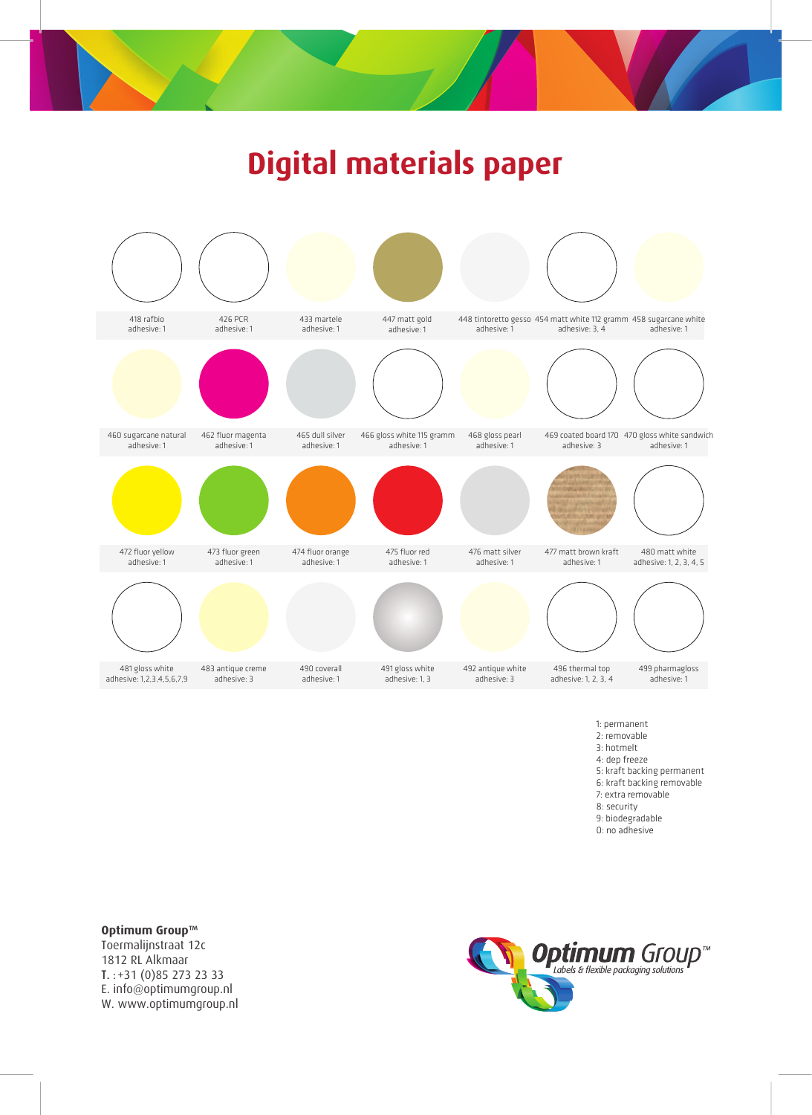

## **Digital materials paper**



- 1: permanent
- 2: removable 3: hotmelt
- 4: dep freeze

5: kraft backing permanent

- 6: kraft backing removable
- 7: extra removable
- 8: security
- 9: biodegradable
- 0: no adhesive

**Optimum Group™**<br>Toermalijnstraat 12c 1812 RL Alkmaar  $T. : +31(0)852732333$ E. info@optimumgroup.nl E. Info@optimumgroup.nl www.companishight.pm